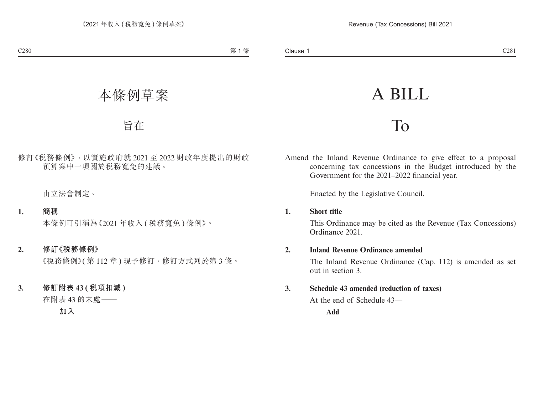# A BILL

## To

Amend the Inland Revenue Ordinance to give effect to a proposal concerning tax concessions in the Budget introduced by the Government for the 2021–2022 financial year.

Enacted by the Legislative Council.

### **1. Short title**

This Ordinance may be cited as the Revenue (Tax Concessions) Ordinance 2021.

### **2. Inland Revenue Ordinance amended**

The Inland Revenue Ordinance (Cap. 112) is amended as set out in section 3.

### **3. Schedule 43 amended (reduction of taxes)**

At the end of Schedule 43—

**Add**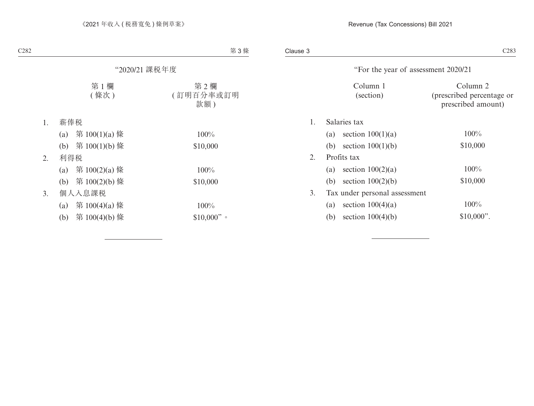|    | "For the year of assessment 2020/21 |                         |                                                             |
|----|-------------------------------------|-------------------------|-------------------------------------------------------------|
|    |                                     | Column 1<br>(section)   | Column 2<br>(prescribed percentage or<br>prescribed amount) |
| 1. | Salaries tax                        |                         |                                                             |
|    |                                     | (a) section $100(1)(a)$ | $100\%$                                                     |
|    | (b)                                 | section $100(1)(b)$     | \$10,000                                                    |
| 2. | Profits tax                         |                         |                                                             |
|    | (a)                                 | section $100(2)(a)$     | 100%                                                        |
|    | (b)                                 | section $100(2)(b)$     | \$10,000                                                    |
| 3. | Tax under personal assessment       |                         |                                                             |
|    | (a)                                 | section $100(4)(a)$     | 100%                                                        |
|    | (b)                                 | section $100(4)(b)$     | $$10,000$ ".                                                |